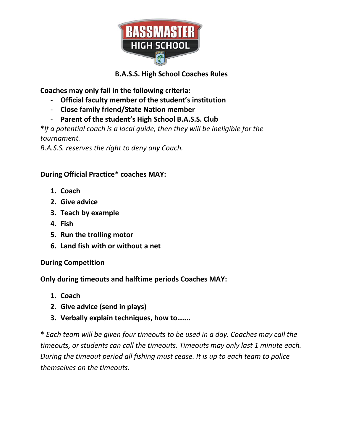

## **B.A.S.S. High School Coaches Rules**

**Coaches may only fall in the following criteria:**

- **Official faculty member of the student's institution**
- **Close family friend/State Nation member**
- **Parent of the student's High School B.A.S.S. Club**

**\****If a potential coach is a local guide, then they will be ineligible for the tournament.*

*B.A.S.S. reserves the right to deny any Coach.* 

## **During Official Practice\* coaches MAY:**

- **1. Coach**
- **2. Give advice**
- **3. Teach by example**
- **4. Fish**
- **5. Run the trolling motor**
- **6. Land fish with or without a net**

## **During Competition**

**Only during timeouts and halftime periods Coaches MAY:**

- **1. Coach**
- **2. Give advice (send in plays)**
- **3. Verbally explain techniques, how to…….**

**\*** *Each team will be given four timeouts to be used in a day. Coaches may call the timeouts, or students can call the timeouts. Timeouts may only last 1 minute each. During the timeout period all fishing must cease. It is up to each team to police themselves on the timeouts.*